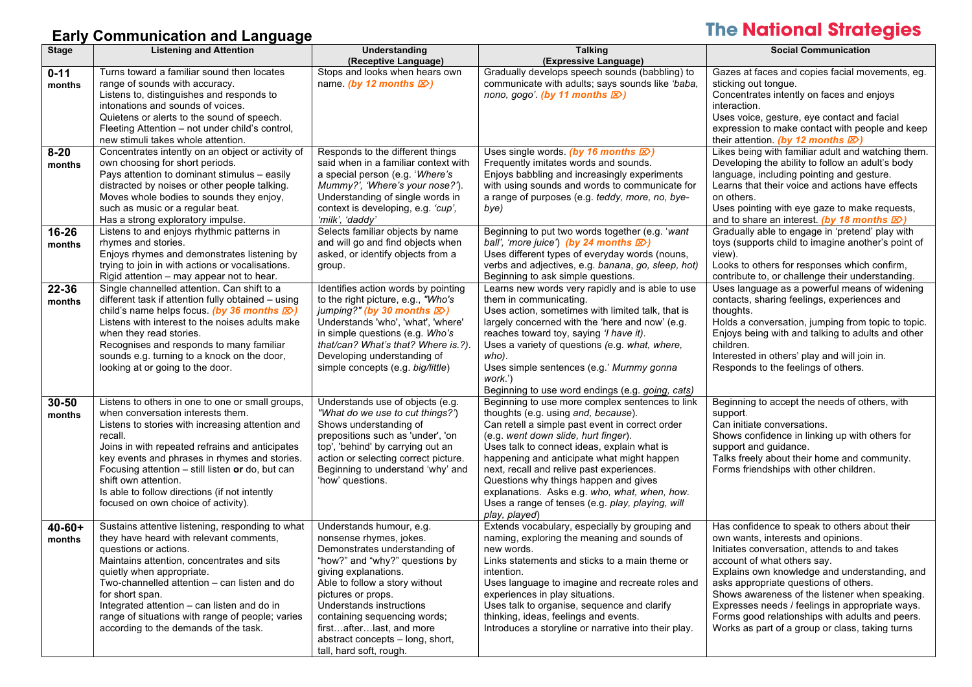## **Early Communication and Language**

# **The National Strategies**

| <b>Stage</b> | <b>Listening and Attention</b>                                                                | Understanding                                                        | <b>Talking</b>                                                                                | <b>Social Communication</b>                                                                       |
|--------------|-----------------------------------------------------------------------------------------------|----------------------------------------------------------------------|-----------------------------------------------------------------------------------------------|---------------------------------------------------------------------------------------------------|
|              |                                                                                               | (Receptive Language)                                                 | (Expressive Language)                                                                         |                                                                                                   |
| $0 - 11$     | Turns toward a familiar sound then locates                                                    | Stops and looks when hears own                                       | Gradually develops speech sounds (babbling) to                                                | Gazes at faces and copies facial movements, eg.                                                   |
| months       | range of sounds with accuracy.                                                                | name (by 12 months $\mathbb{Z}$ )                                    | communicate with adults; says sounds like 'baba,                                              | sticking out tongue.                                                                              |
|              | Listens to, distinguishes and responds to<br>intonations and sounds of voices.                |                                                                      | nono, gogo (by 11 months $\boxtimes$ )                                                        | Concentrates intently on faces and enjoys                                                         |
|              | Quietens or alerts to the sound of speech.                                                    |                                                                      |                                                                                               | interaction.                                                                                      |
|              | Fleeting Attention - not under child's control,                                               |                                                                      |                                                                                               | Uses voice, gesture, eye contact and facial<br>expression to make contact with people and keep    |
|              | new stimuli takes whole attention.                                                            |                                                                      |                                                                                               | their attention. (by 12 months $\mathbb{Z}$ )                                                     |
| $8 - 20$     | Concentrates intently on an object or activity of                                             | Responds to the different things                                     | Uses single words. (by 16 months $\mathbb{Z}$ )                                               | Likes being with familiar adult and watching them.                                                |
| months       | own choosing for short periods.                                                               | said when in a familiar context with                                 | Frequently imitates words and sounds.                                                         | Developing the ability to follow an adult's body                                                  |
|              | Pays attention to dominant stimulus - easily                                                  | a special person (e.g. 'Where's                                      | Enjoys babbling and increasingly experiments                                                  | language, including pointing and gesture.                                                         |
|              | distracted by noises or other people talking.                                                 | Mummy?', 'Where's your nose?').                                      | with using sounds and words to communicate for                                                | Learns that their voice and actions have effects                                                  |
|              | Moves whole bodies to sounds they enjoy,                                                      | Understanding of single words in                                     | a range of purposes (e.g. teddy, more, no, bye-                                               | on others.                                                                                        |
|              | such as music or a regular beat.                                                              | context is developing, e.g. 'cup',                                   | bye)                                                                                          | Uses pointing with eye gaze to make requests,                                                     |
|              | Has a strong exploratory impulse.                                                             | 'milk', 'daddy'                                                      |                                                                                               | and to share an interest. (by 18 months $\mathbb{Z}$ )                                            |
| 16-26        | Listens to and enjoys rhythmic patterns in                                                    | Selects familiar objects by name                                     | Beginning to put two words together (e.g. 'want                                               | Gradually able to engage in 'pretend' play with                                                   |
| months       | rhymes and stories.                                                                           | and will go and find objects when                                    | ball', 'more juice') (by 24 months $\boxtimes$ )                                              | toys (supports child to imagine another's point of                                                |
|              | Enjoys rhymes and demonstrates listening by                                                   | asked, or identify objects from a                                    | Uses different types of everyday words (nouns,                                                | view).                                                                                            |
|              | trying to join in with actions or vocalisations.<br>Rigid attention - may appear not to hear. | group.                                                               | verbs and adjectives, e.g. banana, go, sleep, hot)<br>Beginning to ask simple questions.      | Looks to others for responses which confirm,                                                      |
| 22-36        | Single channelled attention. Can shift to a                                                   | Identifies action words by pointing                                  | Learns new words very rapidly and is able to use                                              | contribute to, or challenge their understanding.<br>Uses language as a powerful means of widening |
| months       | different task if attention fully obtained - using                                            | to the right picture, e.g., "Who's                                   | them in communicating.                                                                        | contacts, sharing feelings, experiences and                                                       |
|              | child's name helps focus. (by 36 months $\mathbb{Z}$ )                                        | jumping?" (by 30 months $\mathbb{Z}$ )                               | Uses action, sometimes with limited talk, that is                                             | thoughts.                                                                                         |
|              | Listens with interest to the noises adults make                                               | Understands 'who', 'what', 'where'                                   | largely concerned with the 'here and now' (e.g.                                               | Holds a conversation, jumping from topic to topic.                                                |
|              | when they read stories.                                                                       | in simple questions (e.g. Who's                                      | reaches toward toy, saying 'I have it).                                                       | Enjoys being with and talking to adults and other                                                 |
|              | Recognises and responds to many familiar                                                      | that/can? What's that? Where is ?).                                  | Uses a variety of questions (e.g. what, where,                                                | children.                                                                                         |
|              | sounds e.g. turning to a knock on the door,                                                   | Developing understanding of                                          | who).                                                                                         | Interested in others' play and will join in.                                                      |
|              | looking at or going to the door.                                                              | simple concepts (e.g. big/little)                                    | Uses simple sentences (e.g.' Mummy gonna                                                      | Responds to the feelings of others.                                                               |
|              |                                                                                               |                                                                      | work.')                                                                                       |                                                                                                   |
|              |                                                                                               |                                                                      | Beginning to use word endings (e.g. going, cats)                                              |                                                                                                   |
| $30 - 50$    | Listens to others in one to one or small groups,<br>when conversation interests them.         | Understands use of objects (e.g.<br>"What do we use to cut things?") | Beginning to use more complex sentences to link<br>thoughts (e.g. using and, because).        | Beginning to accept the needs of others, with<br>support.                                         |
| months       | Listens to stories with increasing attention and                                              | Shows understanding of                                               | Can retell a simple past event in correct order                                               | Can initiate conversations.                                                                       |
|              | recall.                                                                                       | prepositions such as 'under', 'on                                    | (e.g. went down slide, hurt finger).                                                          | Shows confidence in linking up with others for                                                    |
|              | Joins in with repeated refrains and anticipates                                               | top', 'behind' by carrying out an                                    | Uses talk to connect ideas, explain what is                                                   | support and guidance.                                                                             |
|              | key events and phrases in rhymes and stories.                                                 | action or selecting correct picture.                                 | happening and anticipate what might happen                                                    | Talks freely about their home and community.                                                      |
|              | Focusing attention - still listen or do, but can                                              | Beginning to understand 'why' and                                    | next, recall and relive past experiences.                                                     | Forms friendships with other children.                                                            |
|              | shift own attention.                                                                          | 'how' questions.                                                     | Questions why things happen and gives                                                         |                                                                                                   |
|              | Is able to follow directions (if not intently                                                 |                                                                      | explanations. Asks e.g. who, what, when, how.                                                 |                                                                                                   |
|              | focused on own choice of activity).                                                           |                                                                      | Uses a range of tenses (e.g. play, playing, will                                              |                                                                                                   |
|              |                                                                                               |                                                                      | play, played)                                                                                 |                                                                                                   |
| $40 - 60 +$  | Sustains attentive listening, responding to what                                              | Understands humour, e.g.                                             | Extends vocabulary, especially by grouping and<br>naming, exploring the meaning and sounds of | Has confidence to speak to others about their                                                     |
| months       | they have heard with relevant comments,<br>questions or actions.                              | nonsense rhymes, jokes.<br>Demonstrates understanding of             | new words.                                                                                    | own wants, interests and opinions.<br>Initiates conversation, attends to and takes                |
|              | Maintains attention, concentrates and sits                                                    | "how?" and "why?" questions by                                       | Links statements and sticks to a main theme or                                                | account of what others say.                                                                       |
|              | quietly when appropriate.                                                                     | giving explanations.                                                 | intention.                                                                                    | Explains own knowledge and understanding, and                                                     |
|              | Two-channelled attention – can listen and do                                                  | Able to follow a story without                                       | Uses language to imagine and recreate roles and                                               | asks appropriate questions of others.                                                             |
|              | for short span.                                                                               | pictures or props.                                                   | experiences in play situations.                                                               | Shows awareness of the listener when speaking.                                                    |
|              | Integrated attention - can listen and do in                                                   | Understands instructions                                             | Uses talk to organise, sequence and clarify                                                   | Expresses needs / feelings in appropriate ways.                                                   |
|              | range of situations with range of people; varies                                              | containing sequencing words;                                         | thinking, ideas, feelings and events.                                                         | Forms good relationships with adults and peers.                                                   |
|              | according to the demands of the task.                                                         | firstafterlast, and more                                             | Introduces a storyline or narrative into their play.                                          | Works as part of a group or class, taking turns                                                   |
|              |                                                                                               | abstract concepts - long, short,                                     |                                                                                               |                                                                                                   |
|              |                                                                                               | tall, hard soft, rough.                                              |                                                                                               |                                                                                                   |